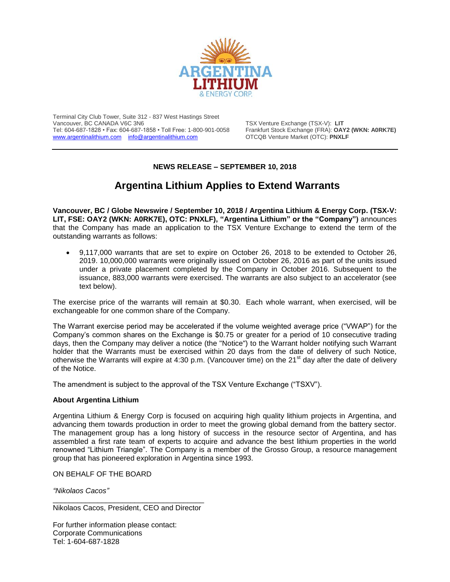

Terminal City Club Tower, Suite 312 - 837 West Hastings Street Vancouver, BC CANADA V6C 3N6 TSX Venture Exchange (TSX-V): **LIT** Tel: 604-687-1828 • Fax: 604-687-1858 • Toll Free: 1-800-901-0058 Frankfurt Stock Exchange (FRA): **OAY2 (WKN: A0RK7E)** [www.argentinalithium.com](http://www.argentinalithium.com/) [info@argentinalithium.com](mailto:info@argentinalithium.com)

## **NEWS RELEASE – SEPTEMBER 10, 2018**

## **Argentina Lithium Applies to Extend Warrants**

**Vancouver, BC / Globe Newswire / September 10, 2018 / Argentina Lithium & Energy Corp. (TSX-V: LIT, FSE: OAY2 (WKN: A0RK7E), OTC: PNXLF), "Argentina Lithium" or the "Company")** announces that the Company has made an application to the TSX Venture Exchange to extend the term of the outstanding warrants as follows:

 9,117,000 warrants that are set to expire on October 26, 2018 to be extended to October 26, 2019. 10,000,000 warrants were originally issued on October 26, 2016 as part of the units issued under a private placement completed by the Company in October 2016. Subsequent to the issuance, 883,000 warrants were exercised. The warrants are also subject to an accelerator (see text below).

The exercise price of the warrants will remain at \$0.30. Each whole warrant, when exercised, will be exchangeable for one common share of the Company.

The Warrant exercise period may be accelerated if the volume weighted average price ("VWAP") for the Company's common shares on the Exchange is \$0.75 or greater for a period of 10 consecutive trading days, then the Company may deliver a notice (the "Notice") to the Warrant holder notifying such Warrant holder that the Warrants must be exercised within 20 days from the date of delivery of such Notice, otherwise the Warrants will expire at 4:30 p.m. (Vancouver time) on the 21<sup>st</sup> day after the date of delivery of the Notice.

The amendment is subject to the approval of the TSX Venture Exchange ("TSXV").

## **About Argentina Lithium**

Argentina Lithium & Energy Corp is focused on acquiring high quality lithium projects in Argentina, and advancing them towards production in order to meet the growing global demand from the battery sector. The management group has a long history of success in the resource sector of Argentina, and has assembled a first rate team of experts to acquire and advance the best lithium properties in the world renowned "Lithium Triangle". The Company is a member of the Grosso Group, a resource management group that has pioneered exploration in Argentina since 1993.

ON BEHALF OF THE BOARD

*"Nikolaos Cacos"*

\_\_\_\_\_\_\_\_\_\_\_\_\_\_\_\_\_\_\_\_\_\_\_\_\_\_\_\_\_\_\_\_\_\_\_\_\_ Nikolaos Cacos, President, CEO and Director

For further information please contact: Corporate Communications Tel: 1-604-687-1828